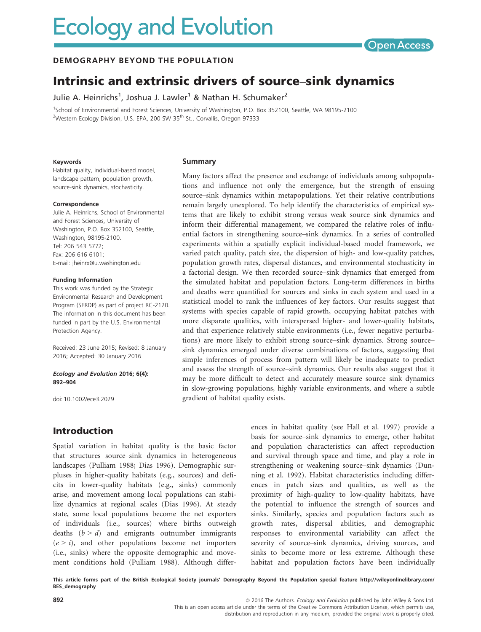# **Ecology and Evolution**

# DEMOGRAPHY BEYOND THE POPULATION



# Intrinsic and extrinsic drivers of source–sink dynamics

Julie A. Heinrichs<sup>1</sup>, Joshua J. Lawler<sup>1</sup> & Nathan H. Schumaker<sup>2</sup>

1 School of Environmental and Forest Sciences, University of Washington, P.O. Box 352100, Seattle, WA 98195-2100 <sup>2</sup>Western Ecology Division, U.S. EPA, 200 SW 35<sup>th</sup> St., Corvallis, Oregon 97333

Summary

#### Keywords

Habitat quality, individual-based model, landscape pattern, population growth, source-sink dynamics, stochasticity.

#### Correspondence

Julie A. Heinrichs, School of Environmental and Forest Sciences, University of Washington, P.O. Box 352100, Seattle, Washington, 98195-2100. Tel: 206 543 5772; Fax: 206 616 6101; E-mail: jheinrx@u.washington.edu

#### Funding Information

This work was funded by the Strategic Environmental Research and Development Program (SERDP) as part of project RC-2120. The information in this document has been funded in part by the U.S. Environmental Protection Agency.

Received: 23 June 2015; Revised: 8 January 2016; Accepted: 30 January 2016

#### Ecology and Evolution 2016; 6(4): 892–904

doi: 10.1002/ece3.2029

## Introduction

Spatial variation in habitat quality is the basic factor that structures source–sink dynamics in heterogeneous landscapes (Pulliam 1988; Dias 1996). Demographic surpluses in higher-quality habitats (e.g., sources) and deficits in lower-quality habitats (e.g., sinks) commonly arise, and movement among local populations can stabilize dynamics at regional scales (Dias 1996). At steady state, some local populations become the net exporters of individuals (i.e., sources) where births outweigh deaths  $(b > d)$  and emigrants outnumber immigrants  $(e > i)$ , and other populations become net importers (i.e., sinks) where the opposite demographic and movement conditions hold (Pulliam 1988). Although differ-

ences in habitat quality (see Hall et al. 1997) provide a basis for source–sink dynamics to emerge, other habitat and population characteristics can affect reproduction and survival through space and time, and play a role in strengthening or weakening source–sink dynamics (Dunning et al. 1992). Habitat characteristics including differences in patch sizes and qualities, as well as the proximity of high-quality to low-quality habitats, have the potential to influence the strength of sources and sinks. Similarly, species and population factors such as growth rates, dispersal abilities, and demographic responses to environmental variability can affect the severity of source–sink dynamics, driving sources, and sinks to become more or less extreme. Although these habitat and population factors have been individually

This article forms part of the British Ecological Society journals' Demography Beyond the Population special feature [http://wileyonlinelibrary.com/](http://wileyonlinelibrary.com/BES_demography) BES demography

gradient of habitat quality exists.

892 **892 and Structure 2016** The Authors. Ecology and Evolution published by John Wiley & Sons Ltd. This is an open access article under the terms of the Creative Commons Attribution License, which permits use, distribution and reproduction in any medium, provided the original work is properly cited.

Many factors affect the presence and exchange of individuals among subpopulations and influence not only the emergence, but the strength of ensuing source–sink dynamics within metapopulations. Yet their relative contributions remain largely unexplored. To help identify the characteristics of empirical systems that are likely to exhibit strong versus weak source–sink dynamics and inform their differential management, we compared the relative roles of influential factors in strengthening source–sink dynamics. In a series of controlled experiments within a spatially explicit individual-based model framework, we varied patch quality, patch size, the dispersion of high- and low-quality patches, population growth rates, dispersal distances, and environmental stochasticity in a factorial design. We then recorded source–sink dynamics that emerged from the simulated habitat and population factors. Long-term differences in births and deaths were quantified for sources and sinks in each system and used in a statistical model to rank the influences of key factors. Our results suggest that systems with species capable of rapid growth, occupying habitat patches with more disparate qualities, with interspersed higher- and lower-quality habitats, and that experience relatively stable environments (i.e., fewer negative perturbations) are more likely to exhibit strong source–sink dynamics. Strong source– sink dynamics emerged under diverse combinations of factors, suggesting that simple inferences of process from pattern will likely be inadequate to predict and assess the strength of source–sink dynamics. Our results also suggest that it may be more difficult to detect and accurately measure source–sink dynamics in slow-growing populations, highly variable environments, and where a subtle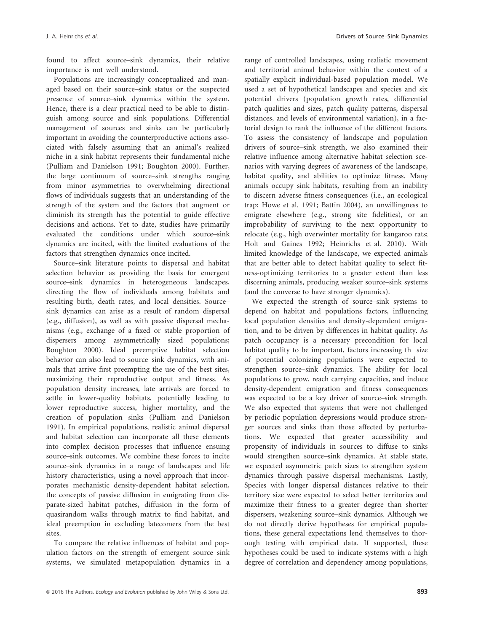found to affect source–sink dynamics, their relative importance is not well understood.

Populations are increasingly conceptualized and managed based on their source–sink status or the suspected presence of source–sink dynamics within the system. Hence, there is a clear practical need to be able to distinguish among source and sink populations. Differential management of sources and sinks can be particularly important in avoiding the counterproductive actions associated with falsely assuming that an animal's realized niche in a sink habitat represents their fundamental niche (Pulliam and Danielson 1991; Boughton 2000). Further, the large continuum of source–sink strengths ranging from minor asymmetries to overwhelming directional flows of individuals suggests that an understanding of the strength of the system and the factors that augment or diminish its strength has the potential to guide effective decisions and actions. Yet to date, studies have primarily evaluated the conditions under which source–sink dynamics are incited, with the limited evaluations of the factors that strengthen dynamics once incited.

Source–sink literature points to dispersal and habitat selection behavior as providing the basis for emergent source–sink dynamics in heterogeneous landscapes, directing the flow of individuals among habitats and resulting birth, death rates, and local densities. Source– sink dynamics can arise as a result of random dispersal (e.g., diffusion), as well as with passive dispersal mechanisms (e.g., exchange of a fixed or stable proportion of dispersers among asymmetrically sized populations; Boughton 2000). Ideal preemptive habitat selection behavior can also lead to source–sink dynamics, with animals that arrive first preempting the use of the best sites, maximizing their reproductive output and fitness. As population density increases, late arrivals are forced to settle in lower-quality habitats, potentially leading to lower reproductive success, higher mortality, and the creation of population sinks (Pulliam and Danielson 1991). In empirical populations, realistic animal dispersal and habitat selection can incorporate all these elements into complex decision processes that influence ensuing source–sink outcomes. We combine these forces to incite source–sink dynamics in a range of landscapes and life history characteristics, using a novel approach that incorporates mechanistic density-dependent habitat selection, the concepts of passive diffusion in emigrating from disparate-sized habitat patches, diffusion in the form of quasirandom walks through matrix to find habitat, and ideal preemption in excluding latecomers from the best sites.

To compare the relative influences of habitat and population factors on the strength of emergent source–sink systems, we simulated metapopulation dynamics in a range of controlled landscapes, using realistic movement and territorial animal behavior within the context of a spatially explicit individual-based population model. We used a set of hypothetical landscapes and species and six potential drivers (population growth rates, differential patch qualities and sizes, patch quality patterns, dispersal distances, and levels of environmental variation), in a factorial design to rank the influence of the different factors. To assess the consistency of landscape and population drivers of source–sink strength, we also examined their relative influence among alternative habitat selection scenarios with varying degrees of awareness of the landscape, habitat quality, and abilities to optimize fitness. Many animals occupy sink habitats, resulting from an inability to discern adverse fitness consequences (i.e., an ecological trap; Howe et al. 1991; Battin 2004), an unwillingness to emigrate elsewhere (e.g., strong site fidelities), or an improbability of surviving to the next opportunity to relocate (e.g., high overwinter mortality for kangaroo rats; Holt and Gaines 1992; Heinrichs et al. 2010). With limited knowledge of the landscape, we expected animals that are better able to detect habitat quality to select fitness-optimizing territories to a greater extent than less discerning animals, producing weaker source–sink systems (and the converse to have stronger dynamics).

We expected the strength of source–sink systems to depend on habitat and populations factors, influencing local population densities and density-dependent emigration, and to be driven by differences in habitat quality. As patch occupancy is a necessary precondition for local habitat quality to be important, factors increasing th size of potential colonizing populations were expected to strengthen source–sink dynamics. The ability for local populations to grow, reach carrying capacities, and induce density-dependent emigration and fitness consequences was expected to be a key driver of source–sink strength. We also expected that systems that were not challenged by periodic population depressions would produce stronger sources and sinks than those affected by perturbations. We expected that greater accessibility and propensity of individuals in sources to diffuse to sinks would strengthen source–sink dynamics. At stable state, we expected asymmetric patch sizes to strengthen system dynamics through passive dispersal mechanisms. Lastly, Species with longer dispersal distances relative to their territory size were expected to select better territories and maximize their fitness to a greater degree than shorter dispersers, weakening source–sink dynamics. Although we do not directly derive hypotheses for empirical populations, these general expectations lend themselves to thorough testing with empirical data. If supported, these hypotheses could be used to indicate systems with a high degree of correlation and dependency among populations,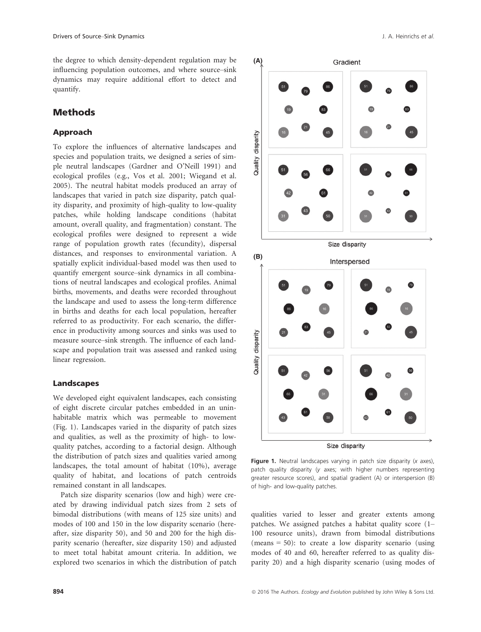the degree to which density-dependent regulation may be influencing population outcomes, and where source–sink dynamics may require additional effort to detect and quantify.

## Methods

#### Approach

To explore the influences of alternative landscapes and species and population traits, we designed a series of simple neutral landscapes (Gardner and O'Neill 1991) and ecological profiles (e.g., Vos et al. 2001; Wiegand et al. 2005). The neutral habitat models produced an array of landscapes that varied in patch size disparity, patch quality disparity, and proximity of high-quality to low-quality patches, while holding landscape conditions (habitat amount, overall quality, and fragmentation) constant. The ecological profiles were designed to represent a wide range of population growth rates (fecundity), dispersal distances, and responses to environmental variation. A spatially explicit individual-based model was then used to quantify emergent source–sink dynamics in all combinations of neutral landscapes and ecological profiles. Animal births, movements, and deaths were recorded throughout the landscape and used to assess the long-term difference in births and deaths for each local population, hereafter referred to as productivity. For each scenario, the difference in productivity among sources and sinks was used to measure source–sink strength. The influence of each landscape and population trait was assessed and ranked using linear regression.

#### Landscapes

We developed eight equivalent landscapes, each consisting of eight discrete circular patches embedded in an uninhabitable matrix which was permeable to movement (Fig. 1). Landscapes varied in the disparity of patch sizes and qualities, as well as the proximity of high- to lowquality patches, according to a factorial design. Although the distribution of patch sizes and qualities varied among landscapes, the total amount of habitat (10%), average quality of habitat, and locations of patch centroids remained constant in all landscapes.

Patch size disparity scenarios (low and high) were created by drawing individual patch sizes from 2 sets of bimodal distributions (with means of 125 size units) and modes of 100 and 150 in the low disparity scenario (hereafter, size disparity 50), and 50 and 200 for the high disparity scenario (hereafter, size disparity 150) and adjusted to meet total habitat amount criteria. In addition, we explored two scenarios in which the distribution of patch



Figure 1. Neutral landscapes varying in patch size disparity  $(x \text{ axes})$ , patch quality disparity (y axes; with higher numbers representing greater resource scores), and spatial gradient (A) or interspersion (B) of high- and low-quality patches.

qualities varied to lesser and greater extents among patches. We assigned patches a habitat quality score (1– 100 resource units), drawn from bimodal distributions (means = 50): to create a low disparity scenario (using modes of 40 and 60, hereafter referred to as quality disparity 20) and a high disparity scenario (using modes of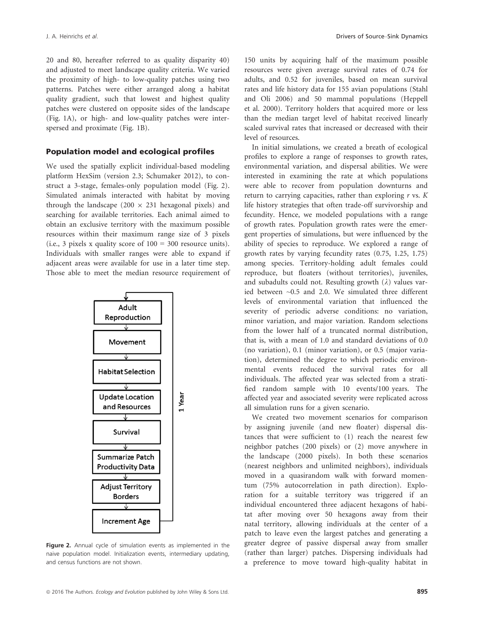20 and 80, hereafter referred to as quality disparity 40) and adjusted to meet landscape quality criteria. We varied the proximity of high- to low-quality patches using two patterns. Patches were either arranged along a habitat quality gradient, such that lowest and highest quality patches were clustered on opposite sides of the landscape (Fig. 1A), or high- and low-quality patches were interspersed and proximate (Fig. 1B).

#### Population model and ecological profiles

We used the spatially explicit individual-based modeling platform HexSim (version 2.3; Schumaker 2012), to construct a 3-stage, females-only population model (Fig. 2). Simulated animals interacted with habitat by moving through the landscape  $(200 \times 231$  hexagonal pixels) and searching for available territories. Each animal aimed to obtain an exclusive territory with the maximum possible resources within their maximum range size of 3 pixels (i.e., 3 pixels x quality score of  $100 = 300$  resource units). Individuals with smaller ranges were able to expand if adjacent areas were available for use in a later time step. Those able to meet the median resource requirement of



Figure 2. Annual cycle of simulation events as implemented in the naive population model. Initialization events, intermediary updating, and census functions are not shown.

150 units by acquiring half of the maximum possible resources were given average survival rates of 0.74 for adults, and 0.52 for juveniles, based on mean survival rates and life history data for 155 avian populations (Stahl and Oli 2006) and 50 mammal populations (Heppell et al. 2000). Territory holders that acquired more or less than the median target level of habitat received linearly scaled survival rates that increased or decreased with their level of resources.

In initial simulations, we created a breath of ecological profiles to explore a range of responses to growth rates, environmental variation, and dispersal abilities. We were interested in examining the rate at which populations were able to recover from population downturns and return to carrying capacities, rather than exploring  $r$  vs.  $K$ life history strategies that often trade-off survivorship and fecundity. Hence, we modeled populations with a range of growth rates. Population growth rates were the emergent properties of simulations, but were influenced by the ability of species to reproduce. We explored a range of growth rates by varying fecundity rates (0.75, 1.25, 1.75) among species. Territory-holding adult females could reproduce, but floaters (without territories), juveniles, and subadults could not. Resulting growth  $(\lambda)$  values varied between ~0.5 and 2.0. We simulated three different levels of environmental variation that influenced the severity of periodic adverse conditions: no variation, minor variation, and major variation. Random selections from the lower half of a truncated normal distribution, that is, with a mean of 1.0 and standard deviations of 0.0 (no variation), 0.1 (minor variation), or 0.5 (major variation), determined the degree to which periodic environmental events reduced the survival rates for all individuals. The affected year was selected from a stratified random sample with 10 events/100 years. The affected year and associated severity were replicated across all simulation runs for a given scenario.

We created two movement scenarios for comparison by assigning juvenile (and new floater) dispersal distances that were sufficient to (1) reach the nearest few neighbor patches (200 pixels) or (2) move anywhere in the landscape (2000 pixels). In both these scenarios (nearest neighbors and unlimited neighbors), individuals moved in a quasirandom walk with forward momentum (75% autocorrelation in path direction). Exploration for a suitable territory was triggered if an individual encountered three adjacent hexagons of habitat after moving over 50 hexagons away from their natal territory, allowing individuals at the center of a patch to leave even the largest patches and generating a greater degree of passive dispersal away from smaller (rather than larger) patches. Dispersing individuals had a preference to move toward high-quality habitat in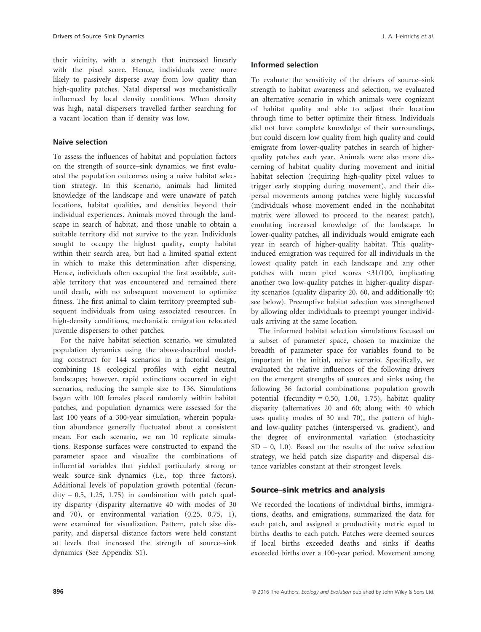their vicinity, with a strength that increased linearly with the pixel score. Hence, individuals were more likely to passively disperse away from low quality than high-quality patches. Natal dispersal was mechanistically influenced by local density conditions. When density was high, natal dispersers travelled farther searching for a vacant location than if density was low.

#### Naive selection

To assess the influences of habitat and population factors on the strength of source–sink dynamics, we first evaluated the population outcomes using a naive habitat selection strategy. In this scenario, animals had limited knowledge of the landscape and were unaware of patch locations, habitat qualities, and densities beyond their individual experiences. Animals moved through the landscape in search of habitat, and those unable to obtain a suitable territory did not survive to the year. Individuals sought to occupy the highest quality, empty habitat within their search area, but had a limited spatial extent in which to make this determination after dispersing. Hence, individuals often occupied the first available, suitable territory that was encountered and remained there until death, with no subsequent movement to optimize fitness. The first animal to claim territory preempted subsequent individuals from using associated resources. In high-density conditions, mechanistic emigration relocated juvenile dispersers to other patches.

For the naive habitat selection scenario, we simulated population dynamics using the above-described modeling construct for 144 scenarios in a factorial design, combining 18 ecological profiles with eight neutral landscapes; however, rapid extinctions occurred in eight scenarios, reducing the sample size to 136. Simulations began with 100 females placed randomly within habitat patches, and population dynamics were assessed for the last 100 years of a 300-year simulation, wherein population abundance generally fluctuated about a consistent mean. For each scenario, we ran 10 replicate simulations. Response surfaces were constructed to expand the parameter space and visualize the combinations of influential variables that yielded particularly strong or weak source–sink dynamics (i.e., top three factors). Additional levels of population growth potential (fecun- $\text{div}$  = 0.5, 1.25, 1.75) in combination with patch quality disparity (disparity alternative 40 with modes of 30 and 70), or environmental variation (0.25, 0.75, 1), were examined for visualization. Pattern, patch size disparity, and dispersal distance factors were held constant at levels that increased the strength of source–sink dynamics (See Appendix S1).

#### Informed selection

To evaluate the sensitivity of the drivers of source–sink strength to habitat awareness and selection, we evaluated an alternative scenario in which animals were cognizant of habitat quality and able to adjust their location through time to better optimize their fitness. Individuals did not have complete knowledge of their surroundings, but could discern low quality from high quality and could emigrate from lower-quality patches in search of higherquality patches each year. Animals were also more discerning of habitat quality during movement and initial habitat selection (requiring high-quality pixel values to trigger early stopping during movement), and their dispersal movements among patches were highly successful (individuals whose movement ended in the nonhabitat matrix were allowed to proceed to the nearest patch), emulating increased knowledge of the landscape. In lower-quality patches, all individuals would emigrate each year in search of higher-quality habitat. This qualityinduced emigration was required for all individuals in the lowest quality patch in each landscape and any other patches with mean pixel scores <31/100, implicating another two low-quality patches in higher-quality disparity scenarios (quality disparity 20, 60, and additionally 40; see below). Preemptive habitat selection was strengthened by allowing older individuals to preempt younger individuals arriving at the same location.

The informed habitat selection simulations focused on a subset of parameter space, chosen to maximize the breadth of parameter space for variables found to be important in the initial, naive scenario. Specifically, we evaluated the relative influences of the following drivers on the emergent strengths of sources and sinks using the following 36 factorial combinations: population growth potential (fecundity =  $0.50$ ,  $1.00$ ,  $1.75$ ), habitat quality disparity (alternatives 20 and 60; along with 40 which uses quality modes of 30 and 70), the pattern of highand low-quality patches (interspersed vs. gradient), and the degree of environmental variation (stochasticity  $SD = 0$ , 1.0). Based on the results of the naive selection strategy, we held patch size disparity and dispersal distance variables constant at their strongest levels.

#### Source–sink metrics and analysis

We recorded the locations of individual births, immigrations, deaths, and emigrations, summarized the data for each patch, and assigned a productivity metric equal to births–deaths to each patch. Patches were deemed sources if local births exceeded deaths and sinks if deaths exceeded births over a 100-year period. Movement among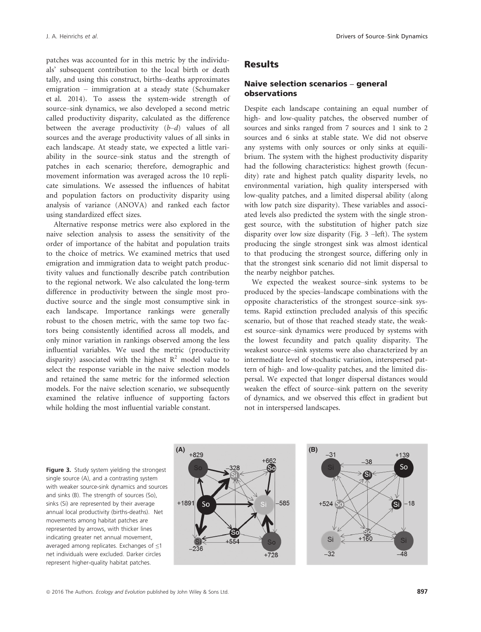patches was accounted for in this metric by the individuals' subsequent contribution to the local birth or death tally, and using this construct, births–deaths approximates emigration – immigration at a steady state (Schumaker et al. 2014). To assess the system-wide strength of source–sink dynamics, we also developed a second metric called productivity disparity, calculated as the difference between the average productivity  $(b-d)$  values of all sources and the average productivity values of all sinks in each landscape. At steady state, we expected a little variability in the source–sink status and the strength of patches in each scenario; therefore, demographic and movement information was averaged across the 10 replicate simulations. We assessed the influences of habitat and population factors on productivity disparity using analysis of variance (ANOVA) and ranked each factor using standardized effect sizes.

Alternative response metrics were also explored in the naive selection analysis to assess the sensitivity of the order of importance of the habitat and population traits to the choice of metrics. We examined metrics that used emigration and immigration data to weight patch productivity values and functionally describe patch contribution to the regional network. We also calculated the long-term difference in productivity between the single most productive source and the single most consumptive sink in each landscape. Importance rankings were generally robust to the chosen metric, with the same top two factors being consistently identified across all models, and only minor variation in rankings observed among the less influential variables. We used the metric (productivity disparity) associated with the highest  $R^2$  model value to select the response variable in the naive selection models and retained the same metric for the informed selection models. For the naive selection scenario, we subsequently examined the relative influence of supporting factors while holding the most influential variable constant.

### Results

#### Naive selection scenarios – general observations

Despite each landscape containing an equal number of high- and low-quality patches, the observed number of sources and sinks ranged from 7 sources and 1 sink to 2 sources and 6 sinks at stable state. We did not observe any systems with only sources or only sinks at equilibrium. The system with the highest productivity disparity had the following characteristics: highest growth (fecundity) rate and highest patch quality disparity levels, no environmental variation, high quality interspersed with low-quality patches, and a limited dispersal ability (along with low patch size disparity). These variables and associated levels also predicted the system with the single strongest source, with the substitution of higher patch size disparity over low size disparity (Fig. 3 –left). The system producing the single strongest sink was almost identical to that producing the strongest source, differing only in that the strongest sink scenario did not limit dispersal to the nearby neighbor patches.

We expected the weakest source–sink systems to be produced by the species–landscape combinations with the opposite characteristics of the strongest source–sink systems. Rapid extinction precluded analysis of this specific scenario, but of those that reached steady state, the weakest source–sink dynamics were produced by systems with the lowest fecundity and patch quality disparity. The weakest source–sink systems were also characterized by an intermediate level of stochastic variation, interspersed pattern of high- and low-quality patches, and the limited dispersal. We expected that longer dispersal distances would weaken the effect of source–sink pattern on the severity of dynamics, and we observed this effect in gradient but not in interspersed landscapes.

Figure 3. Study system yielding the strongest single source (A), and a contrasting system with weaker source-sink dynamics and sources and sinks (B). The strength of sources (So), sinks (Si) are represented by their average annual local productivity (births-deaths). Net movements among habitat patches are represented by arrows, with thicker lines indicating greater net annual movement, averaged among replicates. Exchanges of  $\leq 1$ net individuals were excluded. Darker circles represent higher-quality habitat patches.



 $+139$ 

So

 $-18$ 

G

S

 $-48$ 

 $-38$ 

ெ

 $+160$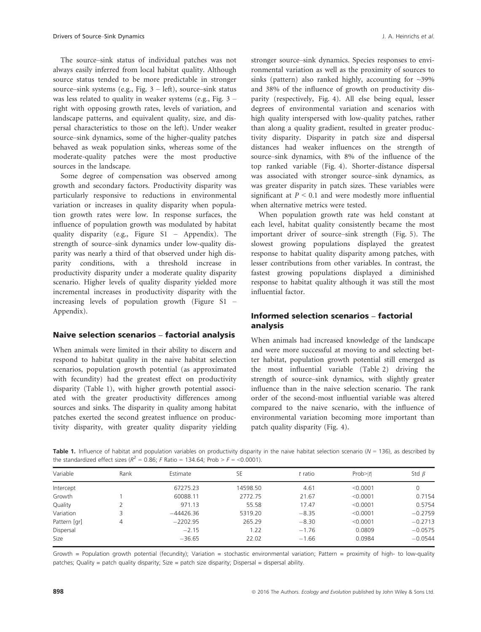The source–sink status of individual patches was not always easily inferred from local habitat quality. Although source status tended to be more predictable in stronger source–sink systems (e.g., Fig.  $3$  – left), source–sink status was less related to quality in weaker systems (e.g., Fig. 3 – right with opposing growth rates, levels of variation, and landscape patterns, and equivalent quality, size, and dispersal characteristics to those on the left). Under weaker source–sink dynamics, some of the higher-quality patches behaved as weak population sinks, whereas some of the moderate-quality patches were the most productive sources in the landscape.

Some degree of compensation was observed among growth and secondary factors. Productivity disparity was particularly responsive to reductions in environmental variation or increases in quality disparity when population growth rates were low. In response surfaces, the influence of population growth was modulated by habitat quality disparity (e.g., Figure S1 – Appendix). The strength of source–sink dynamics under low-quality disparity was nearly a third of that observed under high disparity conditions, with a threshold increase in productivity disparity under a moderate quality disparity scenario. Higher levels of quality disparity yielded more incremental increases in productivity disparity with the increasing levels of population growth (Figure S1 – Appendix).

#### Naive selection scenarios – factorial analysis

When animals were limited in their ability to discern and respond to habitat quality in the naive habitat selection scenarios, population growth potential (as approximated with fecundity) had the greatest effect on productivity disparity (Table 1), with higher growth potential associated with the greater productivity differences among sources and sinks. The disparity in quality among habitat patches exerted the second greatest influence on productivity disparity, with greater quality disparity yielding stronger source–sink dynamics. Species responses to environmental variation as well as the proximity of sources to sinks (pattern) also ranked highly, accounting for  $\sim$ 39% and 38% of the influence of growth on productivity disparity (respectively, Fig. 4). All else being equal, lesser degrees of environmental variation and scenarios with high quality interspersed with low-quality patches, rather than along a quality gradient, resulted in greater productivity disparity. Disparity in patch size and dispersal distances had weaker influences on the strength of source–sink dynamics, with 8% of the influence of the top ranked variable (Fig. 4). Shorter-distance dispersal was associated with stronger source–sink dynamics, as was greater disparity in patch sizes. These variables were significant at  $P \leq 0.1$  and were modestly more influential when alternative metrics were tested.

When population growth rate was held constant at each level, habitat quality consistently became the most important driver of source–sink strength (Fig. 5). The slowest growing populations displayed the greatest response to habitat quality disparity among patches, with lesser contributions from other variables. In contrast, the fastest growing populations displayed a diminished response to habitat quality although it was still the most influential factor.

#### Informed selection scenarios – factorial analysis

When animals had increased knowledge of the landscape and were more successful at moving to and selecting better habitat, population growth potential still emerged as the most influential variable (Table 2) driving the strength of source–sink dynamics, with slightly greater influence than in the naive selection scenario. The rank order of the second-most influential variable was altered compared to the naive scenario, with the influence of environmental variation becoming more important than patch quality disparity (Fig. 4).

**Table 1.** Influence of habitat and population variables on productivity disparity in the naive habitat selection scenario ( $N = 136$ ), as described by the standardized effect sizes ( $R^2 = 0.86$ ; F Ratio = 134.64; Prob > F = <0.0001).

| Variable     | Rank | Estimate    | <b>SE</b> | t ratio | Prob >  t | Std $\beta$ |
|--------------|------|-------------|-----------|---------|-----------|-------------|
| Intercept    |      | 67275.23    | 14598.50  | 4.61    | < 0.0001  | 0           |
| Growth       |      | 60088.11    | 2772.75   | 21.67   | < 0.0001  | 0.7154      |
| Quality      |      | 971.13      | 55.58     | 17.47   | < 0.0001  | 0.5754      |
| Variation    |      | $-44426.36$ | 5319.20   | $-8.35$ | < 0.0001  | $-0.2759$   |
| Pattern [gr] | 4    | $-2202.95$  | 265.29    | $-8.30$ | < 0.0001  | $-0.2713$   |
| Dispersal    |      | $-2.15$     | 1.22      | $-1.76$ | 0.0809    | $-0.0575$   |
| Size         |      | $-36.65$    | 22.02     | $-1.66$ | 0.0984    | $-0.0544$   |

Growth = Population growth potential (fecundity); Variation = stochastic environmental variation; Pattern = proximity of high- to low-quality patches; Quality = patch quality disparity; Size = patch size disparity; Dispersal = dispersal ability.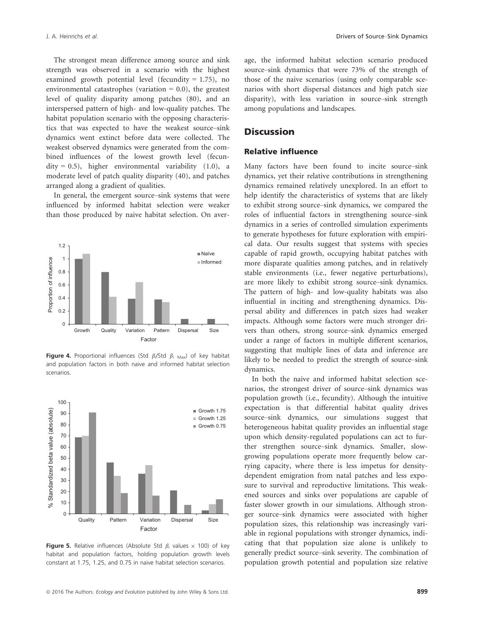The strongest mean difference among source and sink strength was observed in a scenario with the highest examined growth potential level (fecundity  $= 1.75$ ), no environmental catastrophes (variation  $= 0.0$ ), the greatest level of quality disparity among patches (80), and an interspersed pattern of high- and low-quality patches. The habitat population scenario with the opposing characteristics that was expected to have the weakest source–sink dynamics went extinct before data were collected. The weakest observed dynamics were generated from the combined influences of the lowest growth level (fecun- $\text{div} y = 0.5$ ), higher environmental variability (1.0), a moderate level of patch quality disparity (40), and patches arranged along a gradient of qualities.

In general, the emergent source–sink systems that were influenced by informed habitat selection were weaker than those produced by naive habitat selection. On aver-



**Figure 4.** Proportional influences (Std  $\beta_i$ /Std  $\beta_i$ <sub>Max</sub>) of key habitat and population factors in both naive and informed habitat selection scenarios.



**Figure 5.** Relative influences (Absolute Std  $\beta_i$  values  $\times$  100) of key habitat and population factors, holding population growth levels constant at 1.75, 1.25, and 0.75 in naive habitat selection scenarios.

age, the informed habitat selection scenario produced source–sink dynamics that were 73% of the strength of those of the naive scenarios (using only comparable scenarios with short dispersal distances and high patch size disparity), with less variation in source–sink strength among populations and landscapes.

#### **Discussion**

#### Relative influence

Many factors have been found to incite source–sink dynamics, yet their relative contributions in strengthening dynamics remained relatively unexplored. In an effort to help identify the characteristics of systems that are likely to exhibit strong source–sink dynamics, we compared the roles of influential factors in strengthening source–sink dynamics in a series of controlled simulation experiments to generate hypotheses for future exploration with empirical data. Our results suggest that systems with species capable of rapid growth, occupying habitat patches with more disparate qualities among patches, and in relatively stable environments (i.e., fewer negative perturbations), are more likely to exhibit strong source–sink dynamics. The pattern of high- and low-quality habitats was also influential in inciting and strengthening dynamics. Dispersal ability and differences in patch sizes had weaker impacts. Although some factors were much stronger drivers than others, strong source–sink dynamics emerged under a range of factors in multiple different scenarios, suggesting that multiple lines of data and inference are likely to be needed to predict the strength of source–sink dynamics.

In both the naive and informed habitat selection scenarios, the strongest driver of source–sink dynamics was population growth (i.e., fecundity). Although the intuitive expectation is that differential habitat quality drives source–sink dynamics, our simulations suggest that heterogeneous habitat quality provides an influential stage upon which density-regulated populations can act to further strengthen source–sink dynamics. Smaller, slowgrowing populations operate more frequently below carrying capacity, where there is less impetus for densitydependent emigration from natal patches and less exposure to survival and reproductive limitations. This weakened sources and sinks over populations are capable of faster slower growth in our simulations. Although stronger source–sink dynamics were associated with higher population sizes, this relationship was increasingly variable in regional populations with stronger dynamics, indicating that that population size alone is unlikely to generally predict source–sink severity. The combination of population growth potential and population size relative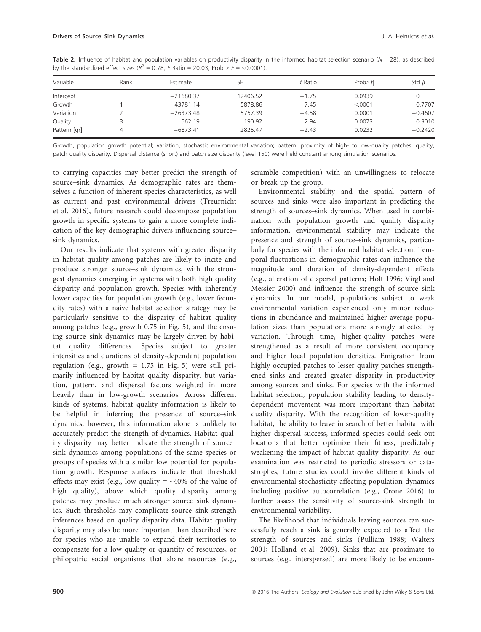| Variable     | Rank | Estimate    | SE       | t Ratio | Prob >  t | Std $\beta$ |
|--------------|------|-------------|----------|---------|-----------|-------------|
| Intercept    |      | $-21680.37$ | 12406.52 | $-1.75$ | 0.0939    |             |
| Growth       |      | 43781.14    | 5878.86  | 7.45    | < 0001    | 0.7707      |
| Variation    |      | $-26373.48$ | 5757.39  | $-4.58$ | 0.0001    | $-0.4607$   |
| Quality      |      | 562.19      | 190.92   | 2.94    | 0.0073    | 0.3010      |
| Pattern [gr] | 4    | $-6873.41$  | 2825.47  | $-2.43$ | 0.0232    | $-0.2420$   |

Table 2. Influence of habitat and population variables on productivity disparity in the informed habitat selection scenario ( $N = 28$ ), as described by the standardized effect sizes ( $R^2 = 0.78$ ; F Ratio = 20.03; Prob > F = <0.0001).

Growth, population growth potential; variation, stochastic environmental variation; pattern, proximity of high- to low-quality patches; quality, patch quality disparity. Dispersal distance (short) and patch size disparity (level 150) were held constant among simulation scenarios.

to carrying capacities may better predict the strength of source–sink dynamics. As demographic rates are themselves a function of inherent species characteristics, as well as current and past environmental drivers (Treurnicht et al. 2016), future research could decompose population growth in specific systems to gain a more complete indication of the key demographic drivers influencing source– sink dynamics.

Our results indicate that systems with greater disparity in habitat quality among patches are likely to incite and produce stronger source–sink dynamics, with the strongest dynamics emerging in systems with both high quality disparity and population growth. Species with inherently lower capacities for population growth (e.g., lower fecundity rates) with a naive habitat selection strategy may be particularly sensitive to the disparity of habitat quality among patches (e.g., growth 0.75 in Fig. 5), and the ensuing source–sink dynamics may be largely driven by habitat quality differences. Species subject to greater intensities and durations of density-dependant population regulation (e.g., growth  $= 1.75$  in Fig. 5) were still primarily influenced by habitat quality disparity, but variation, pattern, and dispersal factors weighted in more heavily than in low-growth scenarios. Across different kinds of systems, habitat quality information is likely to be helpful in inferring the presence of source–sink dynamics; however, this information alone is unlikely to accurately predict the strength of dynamics. Habitat quality disparity may better indicate the strength of source– sink dynamics among populations of the same species or groups of species with a similar low potential for population growth. Response surfaces indicate that threshold effects may exist (e.g., low quality  $=$  ~40% of the value of high quality), above which quality disparity among patches may produce much stronger source–sink dynamics. Such thresholds may complicate source–sink strength inferences based on quality disparity data. Habitat quality disparity may also be more important than described here for species who are unable to expand their territories to compensate for a low quality or quantity of resources, or philopatric social organisms that share resources (e.g., scramble competition) with an unwillingness to relocate or break up the group.

Environmental stability and the spatial pattern of sources and sinks were also important in predicting the strength of sources–sink dynamics. When used in combination with population growth and quality disparity information, environmental stability may indicate the presence and strength of source–sink dynamics, particularly for species with the informed habitat selection. Temporal fluctuations in demographic rates can influence the magnitude and duration of density-dependent effects (e.g., alteration of dispersal patterns; Holt 1996; Virgl and Messier 2000) and influence the strength of source–sink dynamics. In our model, populations subject to weak environmental variation experienced only minor reductions in abundance and maintained higher average population sizes than populations more strongly affected by variation. Through time, higher-quality patches were strengthened as a result of more consistent occupancy and higher local population densities. Emigration from highly occupied patches to lesser quality patches strengthened sinks and created greater disparity in productivity among sources and sinks. For species with the informed habitat selection, population stability leading to densitydependent movement was more important than habitat quality disparity. With the recognition of lower-quality habitat, the ability to leave in search of better habitat with higher dispersal success, informed species could seek out locations that better optimize their fitness, predictably weakening the impact of habitat quality disparity. As our examination was restricted to periodic stressors or catastrophes, future studies could invoke different kinds of environmental stochasticity affecting population dynamics including positive autocorrelation (e.g., Crone 2016) to further assess the sensitivity of source-sink strength to environmental variability.

The likelihood that individuals leaving sources can successfully reach a sink is generally expected to affect the strength of sources and sinks (Pulliam 1988; Walters 2001; Holland et al. 2009). Sinks that are proximate to sources (e.g., interspersed) are more likely to be encoun-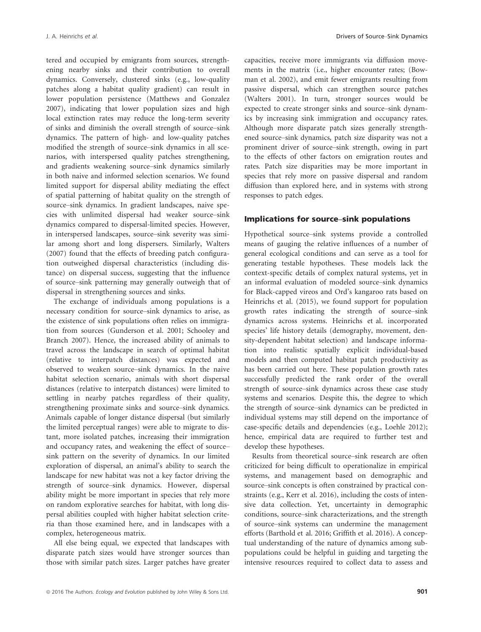tered and occupied by emigrants from sources, strengthening nearby sinks and their contribution to overall dynamics. Conversely, clustered sinks (e.g., low-quality patches along a habitat quality gradient) can result in lower population persistence (Matthews and Gonzalez 2007), indicating that lower population sizes and high local extinction rates may reduce the long-term severity of sinks and diminish the overall strength of source–sink dynamics. The pattern of high- and low-quality patches modified the strength of source–sink dynamics in all scenarios, with interspersed quality patches strengthening, and gradients weakening source–sink dynamics similarly in both naive and informed selection scenarios. We found limited support for dispersal ability mediating the effect of spatial patterning of habitat quality on the strength of source–sink dynamics. In gradient landscapes, naive species with unlimited dispersal had weaker source–sink dynamics compared to dispersal-limited species. However, in interspersed landscapes, source–sink severity was similar among short and long dispersers. Similarly, Walters (2007) found that the effects of breeding patch configuration outweighed dispersal characteristics (including distance) on dispersal success, suggesting that the influence of source–sink patterning may generally outweigh that of dispersal in strengthening sources and sinks.

The exchange of individuals among populations is a necessary condition for source–sink dynamics to arise, as the existence of sink populations often relies on immigration from sources (Gunderson et al. 2001; Schooley and Branch 2007). Hence, the increased ability of animals to travel across the landscape in search of optimal habitat (relative to interpatch distances) was expected and observed to weaken source–sink dynamics. In the naive habitat selection scenario, animals with short dispersal distances (relative to interpatch distances) were limited to settling in nearby patches regardless of their quality, strengthening proximate sinks and source–sink dynamics. Animals capable of longer distance dispersal (but similarly the limited perceptual ranges) were able to migrate to distant, more isolated patches, increasing their immigration and occupancy rates, and weakening the effect of source– sink pattern on the severity of dynamics. In our limited exploration of dispersal, an animal's ability to search the landscape for new habitat was not a key factor driving the strength of source–sink dynamics. However, dispersal ability might be more important in species that rely more on random explorative searches for habitat, with long dispersal abilities coupled with higher habitat selection criteria than those examined here, and in landscapes with a complex, heterogeneous matrix.

All else being equal, we expected that landscapes with disparate patch sizes would have stronger sources than those with similar patch sizes. Larger patches have greater capacities, receive more immigrants via diffusion movements in the matrix (i.e., higher encounter rates; (Bowman et al. 2002), and emit fewer emigrants resulting from passive dispersal, which can strengthen source patches (Walters 2001). In turn, stronger sources would be expected to create stronger sinks and source–sink dynamics by increasing sink immigration and occupancy rates. Although more disparate patch sizes generally strengthened source–sink dynamics, patch size disparity was not a prominent driver of source–sink strength, owing in part to the effects of other factors on emigration routes and rates. Patch size disparities may be more important in species that rely more on passive dispersal and random diffusion than explored here, and in systems with strong responses to patch edges.

#### Implications for source–sink populations

Hypothetical source–sink systems provide a controlled means of gauging the relative influences of a number of general ecological conditions and can serve as a tool for generating testable hypotheses. These models lack the context-specific details of complex natural systems, yet in an informal evaluation of modeled source–sink dynamics for Black-capped vireos and Ord's kangaroo rats based on Heinrichs et al. (2015), we found support for population growth rates indicating the strength of source–sink dynamics across systems. Heinrichs et al. incorporated species' life history details (demography, movement, density-dependent habitat selection) and landscape information into realistic spatially explicit individual-based models and then computed habitat patch productivity as has been carried out here. These population growth rates successfully predicted the rank order of the overall strength of source–sink dynamics across these case study systems and scenarios. Despite this, the degree to which the strength of source–sink dynamics can be predicted in individual systems may still depend on the importance of case-specific details and dependencies (e.g., Loehle 2012); hence, empirical data are required to further test and develop these hypotheses.

Results from theoretical source–sink research are often criticized for being difficult to operationalize in empirical systems, and management based on demographic and source–sink concepts is often constrained by practical constraints (e.g., Kerr et al. 2016), including the costs of intensive data collection. Yet, uncertainty in demographic conditions, source–sink characterizations, and the strength of source–sink systems can undermine the management efforts (Barthold et al. 2016; Griffith et al. 2016). A conceptual understanding of the nature of dynamics among subpopulations could be helpful in guiding and targeting the intensive resources required to collect data to assess and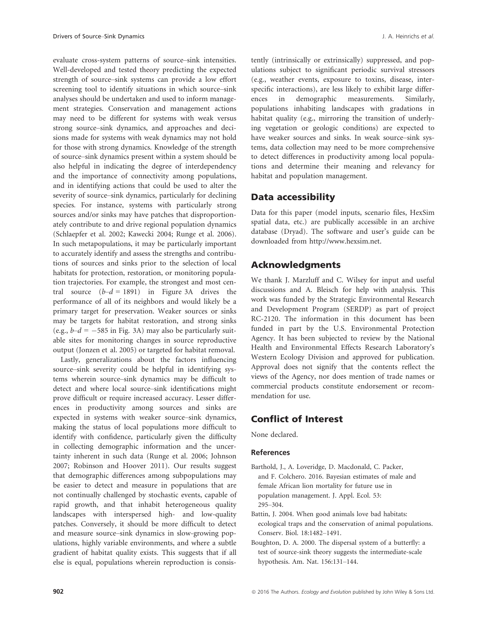evaluate cross-system patterns of source–sink intensities. Well-developed and tested theory predicting the expected strength of source–sink systems can provide a low effort screening tool to identify situations in which source–sink analyses should be undertaken and used to inform management strategies. Conservation and management actions may need to be different for systems with weak versus strong source–sink dynamics, and approaches and decisions made for systems with weak dynamics may not hold for those with strong dynamics. Knowledge of the strength of source–sink dynamics present within a system should be also helpful in indicating the degree of interdependency and the importance of connectivity among populations, and in identifying actions that could be used to alter the severity of source–sink dynamics, particularly for declining species. For instance, systems with particularly strong sources and/or sinks may have patches that disproportionately contribute to and drive regional population dynamics (Schlaepfer et al. 2002; Kawecki 2004; Runge et al. 2006). In such metapopulations, it may be particularly important to accurately identify and assess the strengths and contributions of sources and sinks prior to the selection of local habitats for protection, restoration, or monitoring population trajectories. For example, the strongest and most central source  $(b-d = 1891)$  in Figure 3A drives the performance of all of its neighbors and would likely be a primary target for preservation. Weaker sources or sinks may be targets for habitat restoration, and strong sinks (e.g.,  $b-d = -585$  in Fig. 3A) may also be particularly suitable sites for monitoring changes in source reproductive output (Jonzen et al. 2005) or targeted for habitat removal.

Lastly, generalizations about the factors influencing source–sink severity could be helpful in identifying systems wherein source–sink dynamics may be difficult to detect and where local source–sink identifications might prove difficult or require increased accuracy. Lesser differences in productivity among sources and sinks are expected in systems with weaker source–sink dynamics, making the status of local populations more difficult to identify with confidence, particularly given the difficulty in collecting demographic information and the uncertainty inherent in such data (Runge et al. 2006; Johnson 2007; Robinson and Hoover 2011). Our results suggest that demographic differences among subpopulations may be easier to detect and measure in populations that are not continually challenged by stochastic events, capable of rapid growth, and that inhabit heterogeneous quality landscapes with interspersed high- and low-quality patches. Conversely, it should be more difficult to detect and measure source–sink dynamics in slow-growing populations, highly variable environments, and where a subtle gradient of habitat quality exists. This suggests that if all else is equal, populations wherein reproduction is consis-

tently (intrinsically or extrinsically) suppressed, and populations subject to significant periodic survival stressors (e.g., weather events, exposure to toxins, disease, interspecific interactions), are less likely to exhibit large differences in demographic measurements. Similarly, populations inhabiting landscapes with gradations in habitat quality (e.g., mirroring the transition of underlying vegetation or geologic conditions) are expected to have weaker sources and sinks. In weak source–sink systems, data collection may need to be more comprehensive to detect differences in productivity among local populations and determine their meaning and relevancy for habitat and population management.

## Data accessibility

Data for this paper (model inputs, scenario files, HexSim spatial data, etc.) are publically accessible in an archive database (Dryad). The software and user's guide can be downloaded from<http://www.hexsim.net>.

## Acknowledgments

We thank J. Marzluff and C. Wilsey for input and useful discussions and A. Bleisch for help with analysis. This work was funded by the Strategic Environmental Research and Development Program (SERDP) as part of project RC-2120. The information in this document has been funded in part by the U.S. Environmental Protection Agency. It has been subjected to review by the National Health and Environmental Effects Research Laboratory's Western Ecology Division and approved for publication. Approval does not signify that the contents reflect the views of the Agency, nor does mention of trade names or commercial products constitute endorsement or recommendation for use.

# Conflict of Interest

None declared.

#### References

- Barthold, J., A. Loveridge, D. Macdonald, C. Packer, and F. Colchero. 2016. Bayesian estimates of male and female African lion mortality for future use in population management. J. Appl. Ecol. 53: 295–304.
- Battin, J. 2004. When good animals love bad habitats: ecological traps and the conservation of animal populations. Conserv. Biol. 18:1482–1491.
- Boughton, D. A. 2000. The dispersal system of a butterfly: a test of source-sink theory suggests the intermediate-scale hypothesis. Am. Nat. 156:131–144.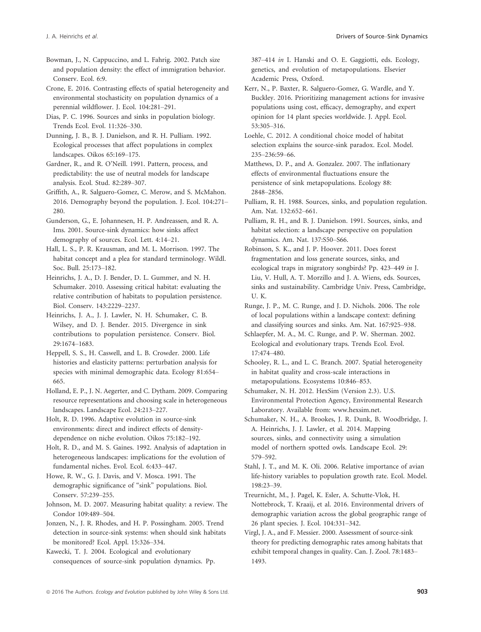Bowman, J., N. Cappuccino, and L. Fahrig. 2002. Patch size and population density: the effect of immigration behavior. Conserv. Ecol. 6:9.

Crone, E. 2016. Contrasting effects of spatial heterogeneity and environmental stochasticity on population dynamics of a perennial wildflower. J. Ecol. 104:281–291.

Dias, P. C. 1996. Sources and sinks in population biology. Trends Ecol. Evol. 11:326–330.

Dunning, J. B., B. J. Danielson, and R. H. Pulliam. 1992. Ecological processes that affect populations in complex landscapes. Oikos 65:169–175.

Gardner, R., and R. O'Neill. 1991. Pattern, process, and predictability: the use of neutral models for landscape analysis. Ecol. Stud. 82:289–307.

Griffith, A., R. Salguero-Gomez, C. Merow, and S. McMahon. 2016. Demography beyond the population. J. Ecol. 104:271– 280.

Gunderson, G., E. Johannesen, H. P. Andreassen, and R. A. Ims. 2001. Source-sink dynamics: how sinks affect demography of sources. Ecol. Lett. 4:14–21.

Hall, L. S., P. R. Krausman, and M. L. Morrison. 1997. The habitat concept and a plea for standard terminology. Wildl. Soc. Bull. 25:173–182.

Heinrichs, J. A., D. J. Bender, D. L. Gummer, and N. H. Schumaker. 2010. Assessing critical habitat: evaluating the relative contribution of habitats to population persistence. Biol. Conserv. 143:2229–2237.

Heinrichs, J. A., J. J. Lawler, N. H. Schumaker, C. B. Wilsey, and D. J. Bender. 2015. Divergence in sink contributions to population persistence. Conserv. Biol. 29:1674–1683.

Heppell, S. S., H. Caswell, and L. B. Crowder. 2000. Life histories and elasticity patterns: perturbation analysis for species with minimal demographic data. Ecology 81:654– 665.

Holland, E. P., J. N. Aegerter, and C. Dytham. 2009. Comparing resource representations and choosing scale in heterogeneous landscapes. Landscape Ecol. 24:213–227.

Holt, R. D. 1996. Adaptive evolution in source-sink environments: direct and indirect effects of densitydependence on niche evolution. Oikos 75:182–192.

Holt, R. D., and M. S. Gaines. 1992. Analysis of adaptation in heterogeneous landscapes: implications for the evolution of fundamental niches. Evol. Ecol. 6:433–447.

Howe, R. W., G. J. Davis, and V. Mosca. 1991. The demographic significance of "sink" populations. Biol. Conserv. 57:239–255.

Johnson, M. D. 2007. Measuring habitat quality: a review. The Condor 109:489–504.

Jonzen, N., J. R. Rhodes, and H. P. Possingham. 2005. Trend detection in source-sink systems: when should sink habitats be monitored? Ecol. Appl. 15:326–334.

Kawecki, T. J. 2004. Ecological and evolutionary consequences of source-sink population dynamics. Pp. 387–414 in I. Hanski and O. E. Gaggiotti, eds. Ecology, genetics, and evolution of metapopulations. Elsevier Academic Press, Oxford.

Kerr, N., P. Baxter, R. Salguero-Gomez, G. Wardle, and Y. Buckley. 2016. Prioritizing management actions for invasive populations using cost, efficacy, demography, and expert opinion for 14 plant species worldwide. J. Appl. Ecol. 53:305–316.

Loehle, C. 2012. A conditional choice model of habitat selection explains the source-sink paradox. Ecol. Model. 235–236:59–66.

Matthews, D. P., and A. Gonzalez. 2007. The inflationary effects of environmental fluctuations ensure the persistence of sink metapopulations. Ecology 88: 2848–2856.

Pulliam, R. H. 1988. Sources, sinks, and population regulation. Am. Nat. 132:652–661.

Pulliam, R. H., and B. J. Danielson. 1991. Sources, sinks, and habitat selection: a landscape perspective on population dynamics. Am. Nat. 137:S50–S66.

Robinson, S. K., and J. P. Hoover. 2011. Does forest fragmentation and loss generate sources, sinks, and ecological traps in migratory songbirds? Pp. 423–449 in J. Liu, V. Hull, A. T. Morzillo and J. A. Wiens, eds. Sources, sinks and sustainability. Cambridge Univ. Press, Cambridge, U. K.

Runge, J. P., M. C. Runge, and J. D. Nichols. 2006. The role of local populations within a landscape context: defining and classifying sources and sinks. Am. Nat. 167:925–938.

Schlaepfer, M. A., M. C. Runge, and P. W. Sherman. 2002. Ecological and evolutionary traps. Trends Ecol. Evol. 17:474–480.

Schooley, R. L., and L. C. Branch. 2007. Spatial heterogeneity in habitat quality and cross-scale interactions in metapopulations. Ecosystems 10:846–853.

Schumaker, N. H. 2012. HexSim (Version 2.3). U.S. Environmental Protection Agency, Environmental Research Laboratory. Available from: [www.hexsim.net](http://www.hexsim.net).

Schumaker, N. H., A. Brookes, J. R. Dunk, B. Woodbridge, J. A. Heinrichs, J. J. Lawler, et al. 2014. Mapping sources, sinks, and connectivity using a simulation model of northern spotted owls. Landscape Ecol. 29: 579–592.

Stahl, J. T., and M. K. Oli. 2006. Relative importance of avian life-history variables to population growth rate. Ecol. Model. 198:23–39.

Treurnicht, M., J. Pagel, K. Esler, A. Schutte-Vlok, H. Nottebrock, T. Kraaij, et al. 2016. Environmental drivers of demographic variation across the global geographic range of 26 plant species. J. Ecol. 104:331–342.

Virgl, J. A., and F. Messier. 2000. Assessment of source-sink theory for predicting demographic rates among habitats that exhibit temporal changes in quality. Can. J. Zool. 78:1483– 1493.